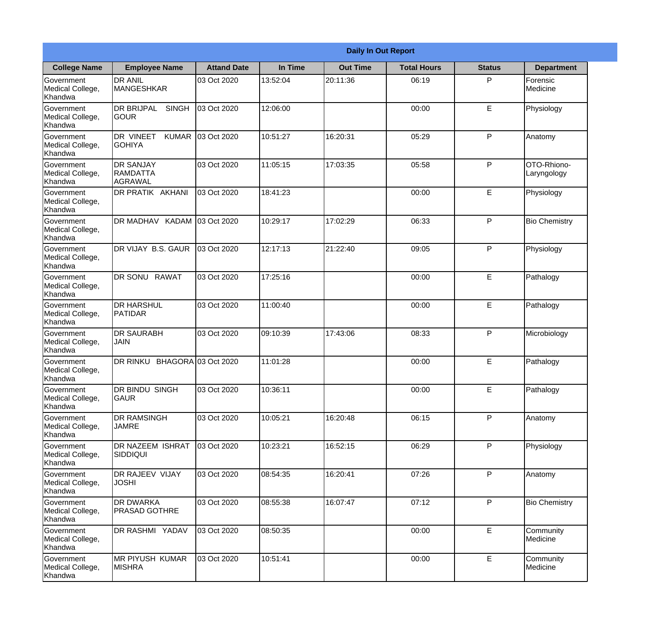|                                                  |                                                   |                     |          | <b>Daily In Out Report</b> |                    |               |                            |
|--------------------------------------------------|---------------------------------------------------|---------------------|----------|----------------------------|--------------------|---------------|----------------------------|
| <b>College Name</b>                              | <b>Employee Name</b>                              | <b>Attand Date</b>  | In Time  | <b>Out Time</b>            | <b>Total Hours</b> | <b>Status</b> | <b>Department</b>          |
| Government<br>Medical College,<br>Khandwa        | <b>DR ANIL</b><br><b>MANGESHKAR</b>               | 03 Oct 2020         | 13:52:04 | 20:11:36                   | 06:19              | P             | Forensic<br>Medicine       |
| Government<br>Medical College,<br>Khandwa        | <b>DR BRIJPAL</b><br><b>SINGH</b><br> GOUR        | 03 Oct 2020         | 12:06:00 |                            | 00:00              | E             | Physiology                 |
| <b>Government</b><br>Medical College,<br>Khandwa | <b>DR VINEET</b><br><b>KUMAR</b><br><b>GOHIYA</b> | 03 Oct 2020         | 10:51:27 | 16:20:31                   | 05:29              | P             | Anatomy                    |
| <b>Government</b><br>Medical College,<br>Khandwa | <b>DR SANJAY</b><br>RAMDATTA<br><b>AGRAWAL</b>    | 03 Oct 2020         | 11:05:15 | 17:03:35                   | 05:58              | P             | OTO-Rhiono-<br>Laryngology |
| Government<br>Medical College,<br>Khandwa        | <b>DR PRATIK AKHANI</b>                           | 03 Oct 2020         | 18:41:23 |                            | 00:00              | E             | Physiology                 |
| Government<br>Medical College,<br>Khandwa        | DR MADHAV KADAM 03 Oct 2020                       |                     | 10:29:17 | 17:02:29                   | 06:33              | P             | <b>Bio Chemistry</b>       |
| <b>Government</b><br>Medical College,<br>Khandwa | DR VIJAY B.S. GAUR                                | 03 Oct 2020         | 12:17:13 | 21:22:40                   | 09:05              | P             | Physiology                 |
| <b>Government</b><br>Medical College,<br>Khandwa | DR SONU RAWAT                                     | 03 Oct 2020         | 17:25:16 |                            | 00:00              | E             | Pathalogy                  |
| Government<br>Medical College,<br>Khandwa        | <b>DR HARSHUL</b><br><b>PATIDAR</b>               | 03 Oct 2020         | 11:00:40 |                            | 00:00              | E             | Pathalogy                  |
| Government<br>Medical College,<br>Khandwa        | <b>DR SAURABH</b><br><b>JAIN</b>                  | 03 Oct 2020         | 09:10:39 | 17:43:06                   | 08:33              | P             | Microbiology               |
| Government<br>Medical College,<br>Khandwa        | DR RINKU                                          | BHAGORA 03 Oct 2020 | 11:01:28 |                            | 00:00              | E             | Pathalogy                  |
| Government<br>Medical College,<br>Khandwa        | <b>DR BINDU SINGH</b><br><b>GAUR</b>              | 03 Oct 2020         | 10:36:11 |                            | 00:00              | E             | Pathalogy                  |
| Government<br>Medical College,<br>Khandwa        | <b>DR RAMSINGH</b><br><b>JAMRE</b>                | 03 Oct 2020         | 10:05:21 | 16:20:48                   | 06:15              | P             | Anatomy                    |
| Government<br>Medical College,<br>Khandwa        | <b>DR NAZEEM ISHRAT</b><br><b>SIDDIQUI</b>        | 03 Oct 2020         | 10:23:21 | 16:52:15                   | 06:29              | P             | Physiology                 |
| Government<br>Medical College,<br>Khandwa        | <b>DR RAJEEV VIJAY</b><br><b>JOSHI</b>            | 03 Oct 2020         | 08:54:35 | 16:20:41                   | 07:26              | P             | Anatomy                    |
| Government<br>Medical College,<br>Khandwa        | <b>DR DWARKA</b><br><b>PRASAD GOTHRE</b>          | 03 Oct 2020         | 08:55:38 | 16:07:47                   | 07:12              | P             | <b>Bio Chemistry</b>       |
| Government<br>Medical College,<br>Khandwa        | DR RASHMI YADAV                                   | 03 Oct 2020         | 08:50:35 |                            | 00:00              | E             | Community<br>Medicine      |
| Government<br>Medical College,<br>Khandwa        | <b>MR PIYUSH KUMAR</b><br><b>MISHRA</b>           | 03 Oct 2020         | 10:51:41 |                            | 00:00              | $\mathsf E$   | Community<br>Medicine      |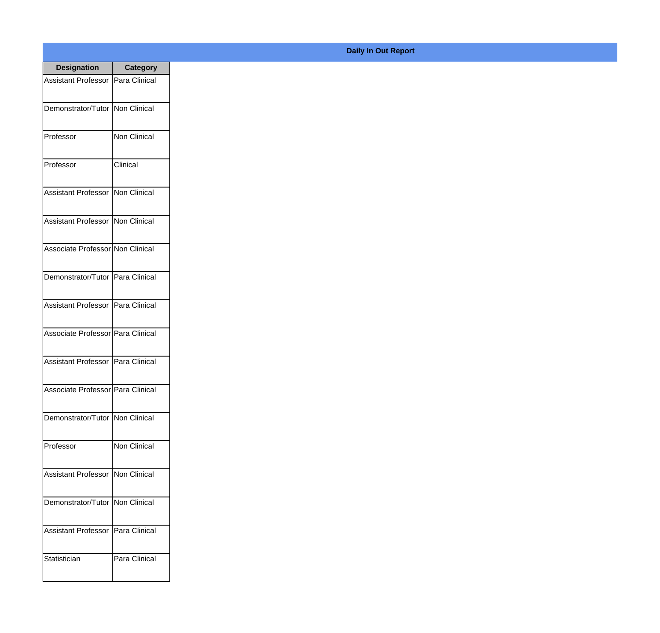| <b>Designation</b>                  | Category             |
|-------------------------------------|----------------------|
| Assistant Professor   Para Clinical |                      |
| Demonstrator/Tutor   Non Clinical   |                      |
| Professor                           | Non Clinical         |
| Professor                           | Clinical             |
| <b>Assistant Professor</b>          | <b>Non Clinical</b>  |
| <b>Assistant Professor</b>          | <b>INon Clinical</b> |
| Associate Professor Non Clinical    |                      |
| Demonstrator/Tutor   Para Clinical  |                      |
| Assistant Professor   Para Clinical |                      |
| Associate Professor Para Clinical   |                      |
| <b>Assistant Professor</b>          | Para Clinical        |
| Associate Professor   Para Clinical |                      |
| Demonstrator/Tutor   Non Clinical   |                      |
| Professor                           | Non Clinical         |
| <b>Assistant Professor</b>          | Non Clinical         |
| Demonstrator/Tutor                  | Non Clinical         |
| <b>Assistant Professor</b>          | Para Clinical        |
| Statistician                        | Para Clinical        |

## **Daily In Out Report**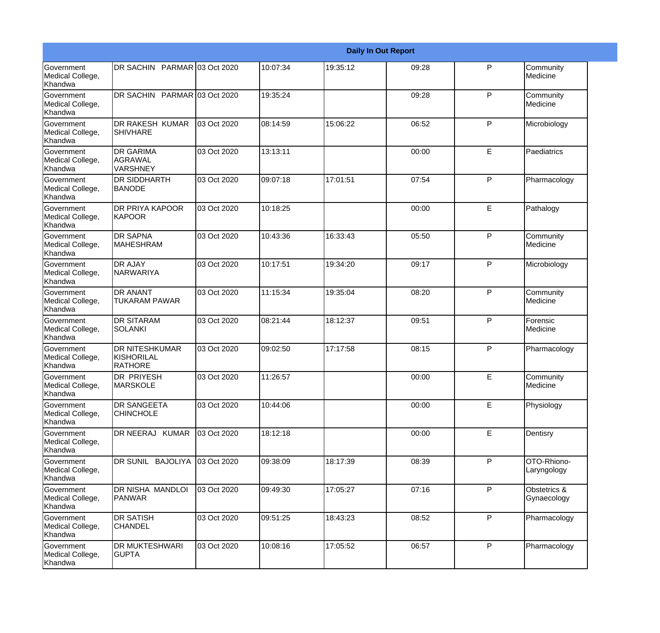|                                                         |                                                              |             |          |          | <b>Daily In Out Report</b> |              |                             |
|---------------------------------------------------------|--------------------------------------------------------------|-------------|----------|----------|----------------------------|--------------|-----------------------------|
| Government<br>Medical College,<br>Khandwa               | DR SACHIN PARMAR 03 Oct 2020                                 |             | 10:07:34 | 19:35:12 | 09:28                      | P            | Community<br>Medicine       |
| <b>Government</b><br>Medical College,<br>Khandwa        | DR SACHIN PARMAR 03 Oct 2020                                 |             | 19:35:24 |          | 09:28                      | $\mathsf{P}$ | Community<br>Medicine       |
| <b>Government</b><br>Medical College,<br>Khandwa        | DR RAKESH KUMAR<br><b>SHIVHARE</b>                           | 03 Oct 2020 | 08:14:59 | 15:06:22 | 06:52                      | P            | Microbiology                |
| <b>Government</b><br>Medical College,<br>Khandwa        | <b>DR GARIMA</b><br><b>AGRAWAL</b><br><b>VARSHNEY</b>        | 03 Oct 2020 | 13:13:11 |          | 00:00                      | E            | Paediatrics                 |
| Government<br>Medical College,<br>Khandwa               | <b>DR SIDDHARTH</b><br><b>BANODE</b>                         | 03 Oct 2020 | 09:07:18 | 17:01:51 | 07:54                      | P            | Pharmacology                |
| <b>Government</b><br>Medical College,<br>Khandwa        | <b>DR PRIYA KAPOOR</b><br>KAPOOR                             | 03 Oct 2020 | 10:18:25 |          | 00:00                      | E            | Pathalogy                   |
| Government<br>Medical College,<br>Khandwa               | <b>DR SAPNA</b><br><b>IMAHESHRAM</b>                         | 03 Oct 2020 | 10:43:36 | 16:33:43 | 05:50                      | P            | Community<br>Medicine       |
| Government<br>Medical College,<br>Khandwa               | <b>DR AJAY</b><br><b>NARWARIYA</b>                           | 03 Oct 2020 | 10:17:51 | 19:34:20 | 09:17                      | $\mathsf{P}$ | Microbiology                |
| Government<br>Medical College,<br>Khandwa               | DR ANANT<br><b>TUKARAM PAWAR</b>                             | 03 Oct 2020 | 11:15:34 | 19:35:04 | 08:20                      | $\mathsf{P}$ | Community<br>Medicine       |
| <b>Government</b><br>Medical College,<br>Khandwa        | <b>DR SITARAM</b><br>SOLANKI                                 | 03 Oct 2020 | 08:21:44 | 18:12:37 | 09:51                      | $\mathsf{P}$ | Forensic<br>Medicine        |
| <b>Government</b><br>Medical College,<br><b>Khandwa</b> | <b>DR NITESHKUMAR</b><br><b>KISHORILAL</b><br><b>RATHORE</b> | 03 Oct 2020 | 09:02:50 | 17:17:58 | 08:15                      | P            | Pharmacology                |
| Government<br>Medical College,<br>Khandwa               | DR PRIYESH<br><b>MARSKOLE</b>                                | 03 Oct 2020 | 11:26:57 |          | 00:00                      | E            | Community<br>Medicine       |
| <b>Government</b><br>Medical College,<br>Khandwa        | DR SANGEETA<br><b>CHINCHOLE</b>                              | 03 Oct 2020 | 10:44:06 |          | 00:00                      | E            | Physiology                  |
| <b>Government</b><br>Medical College,<br>Khandwa        | DR NEERAJ KUMAR                                              | 03 Oct 2020 | 18:12:18 |          | 00:00                      | E            | Dentisry                    |
| Government<br>Medical College,<br>Khandwa               | DR SUNIL BAJOLIYA                                            | 03 Oct 2020 | 09:38:09 | 18:17:39 | 08:39                      | P            | OTO-Rhiono-<br>Laryngology  |
| Government<br>Medical College,<br>Khandwa               | <b>DR NISHA MANDLOI</b><br>PANWAR                            | 03 Oct 2020 | 09:49:30 | 17:05:27 | 07:16                      | $\mathsf{P}$ | Obstetrics &<br>Gynaecology |
| Government<br>Medical College,<br>Khandwa               | <b>DR SATISH</b><br><b>CHANDEL</b>                           | 03 Oct 2020 | 09:51:25 | 18:43:23 | 08:52                      | P            | Pharmacology                |
| Government<br>Medical College,<br>Khandwa               | DR MUKTESHWARI<br><b>GUPTA</b>                               | 03 Oct 2020 | 10:08:16 | 17:05:52 | 06:57                      | P            | Pharmacology                |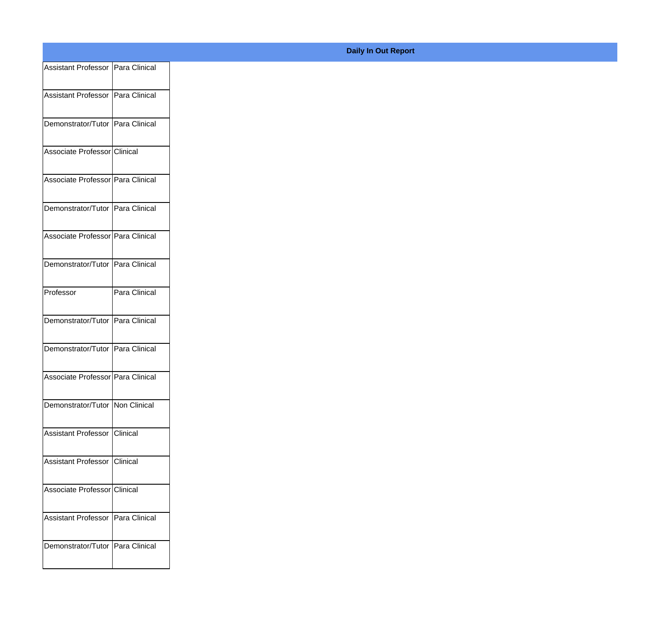| Assistant Professor Para Clinical<br>Para Clinical                                                                                                                                              |
|-------------------------------------------------------------------------------------------------------------------------------------------------------------------------------------------------|
| Assistant Professor Para Clinical<br>Demonstrator/Tutor Para Clinical<br>Demonstrator/Tutor   Para Clinical                                                                                     |
|                                                                                                                                                                                                 |
| Associate Professor Clinical                                                                                                                                                                    |
| Associate Professor Para Clinical<br>Demonstrator/Tutor Para Clinical<br>Associate Professor Para Clinical<br>Professor<br>Demonstrator/Tutor Para Clinical<br>Demonstrator/Tutor Para Clinical |
|                                                                                                                                                                                                 |
|                                                                                                                                                                                                 |
|                                                                                                                                                                                                 |
|                                                                                                                                                                                                 |
|                                                                                                                                                                                                 |
|                                                                                                                                                                                                 |
|                                                                                                                                                                                                 |
| Associate Professor Para Clinical                                                                                                                                                               |
| Demonstrator/Tutor Non Clinical                                                                                                                                                                 |
| Assistant Professor Clinical                                                                                                                                                                    |
| Assistant Professor Clinical                                                                                                                                                                    |
| Associate Professor Clinical                                                                                                                                                                    |
| Assistant Professor Para Clinical                                                                                                                                                               |
| Demonstrator/Tutor Para Clinical                                                                                                                                                                |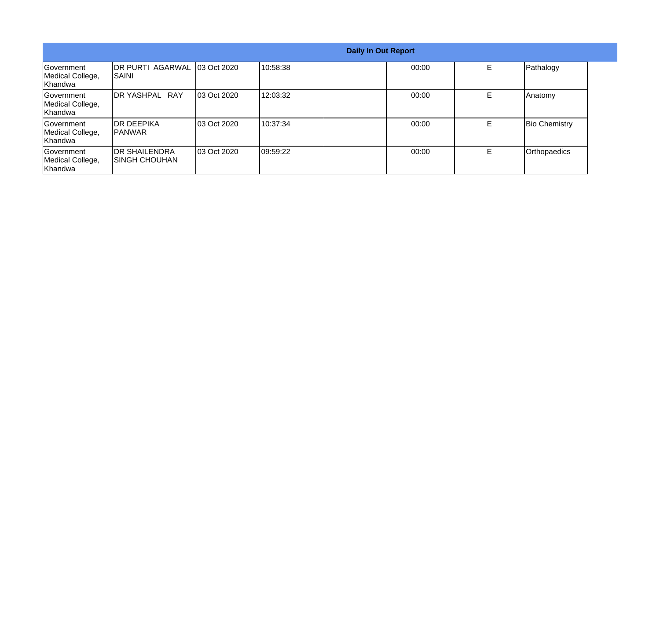| <b>Daily In Out Report</b>                        |                                         |             |           |       |    |                      |
|---------------------------------------------------|-----------------------------------------|-------------|-----------|-------|----|----------------------|
| Government<br>Medical College,<br>lKhandwa        | <b>DR PURTI AGARWAL</b><br>ISAINI       | 03 Oct 2020 | 10:58:38  | 00:00 | E. | Pathalogy            |
| <b>IGovernment</b><br>Medical College,<br>Khandwa | IDR YASHPAL RAY                         | 03 Oct 2020 | 12:03:32  | 00:00 | E. | <b>Anatomy</b>       |
| <b>Government</b><br>Medical College,<br>Khandwa  | <b>IDR DEEPIKA</b><br>IPANWAR           | 03 Oct 2020 | 10:37:34  | 00:00 | E  | <b>Bio Chemistry</b> |
| Government<br>Medical College,<br>Khandwa         | <b>IDR SHAILENDRA</b><br>ISINGH CHOUHAN | 03 Oct 2020 | 109:59:22 | 00:00 | E. | Orthopaedics         |